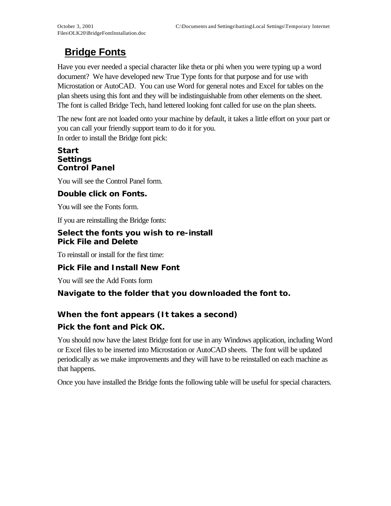# **Bridge Fonts**

Have you ever needed a special character like theta or phi when you were typing up a word document? We have developed new True Type fonts for that purpose and for use with Microstation or AutoCAD. You can use Word for general notes and Excel for tables on the plan sheets using this font and they will be indistinguishable from other elements on the sheet. The font is called Bridge Tech, hand lettered looking font called for use on the plan sheets.

The new font are not loaded onto your machine by default, it takes a little effort on your part or you can call your friendly support team to do it for you. In order to install the Bridge font pick:

#### **Start Settings Control Panel**

You will see the Control Panel form.

### **Double click on Fonts.**

You will see the Fonts form.

If you are reinstalling the Bridge fonts:

#### **Select the fonts you wish to re-install Pick File and Delete**

To reinstall or install for the first time:

### **Pick File and Install New Font**

You will see the Add Fonts form

### **Navigate to the folder that you downloaded the font to.**

## **When the font appears (It takes a second) Pick the font and Pick OK.**

You should now have the latest Bridge font for use in any Windows application, including Word or Excel files to be inserted into Microstation or AutoCAD sheets. The font will be updated periodically as we make improvements and they will have to be reinstalled on each machine as that happens.

Once you have installed the Bridge fonts the following table will be useful for special characters.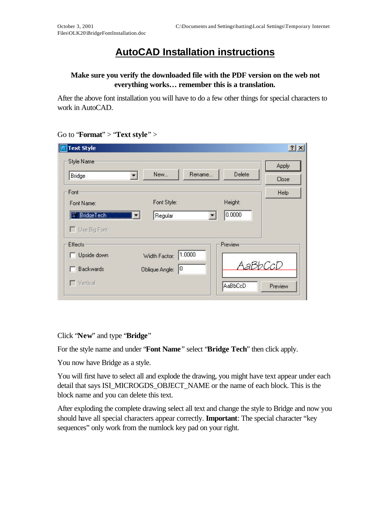# **AutoCAD Installation instructions**

### **Make sure you verify the downloaded file with the PDF version on the web not everything works… remember this is a translation.**

After the above font installation you will have to do a few other things for special characters to work in AutoCAD.

| Style Name               | New                     | Delete<br>Rename | Apply |
|--------------------------|-------------------------|------------------|-------|
| Bridge                   | 뒥                       |                  | Close |
| Font                     |                         |                  | Help  |
| Font Name:               | Font Style:             | Height:          |       |
| <sup>11</sup> BridgeTech | Regular                 | 0.0000           |       |
| Use Big Font             |                         |                  |       |
|                          |                         |                  |       |
|                          |                         | Preview          |       |
| Effects<br>Upside down   | 1.0000<br>Width Factor: | AaBbCcD          |       |

#### Go to "**Format**" > "**Text style**" >

Click "**New**" and type "**Bridge**"

For the style name and under "**Font Name**" select "**Bridge Tech**" then click apply.

You now have Bridge as a style.

You will first have to select all and explode the drawing, you might have text appear under each detail that says ISI\_MICROGDS\_OBJECT\_NAME or the name of each block. This is the block name and you can delete this text.

After exploding the complete drawing select all text and change the style to Bridge and now you should have all special characters appear correctly. **Important**: The special character "key sequences" only work from the numlock key pad on your right.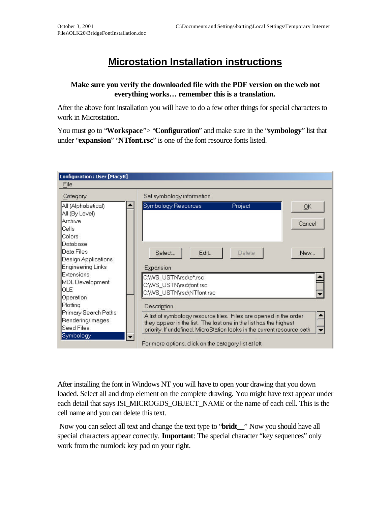# **Microstation Installation instructions**

#### **Make sure you verify the downloaded file with the PDF version on the web not everything works… remember this is a translation.**

After the above font installation you will have to do a few other things for special characters to work in Microstation.

You must go to "**Workspace**"> "**Configuration**" and make sure in the "**symbology**" list that under "**expansion**" "**NTfont.rsc**" is one of the font resource fonts listed.

| <b>Configuration: User [MacyB]</b>                                                                                                                                                                                                                                                             |                                                                                                                                                                                                                                                                                                                                                                                                                                                                              |  |  |  |  |
|------------------------------------------------------------------------------------------------------------------------------------------------------------------------------------------------------------------------------------------------------------------------------------------------|------------------------------------------------------------------------------------------------------------------------------------------------------------------------------------------------------------------------------------------------------------------------------------------------------------------------------------------------------------------------------------------------------------------------------------------------------------------------------|--|--|--|--|
| File                                                                                                                                                                                                                                                                                           |                                                                                                                                                                                                                                                                                                                                                                                                                                                                              |  |  |  |  |
| Category                                                                                                                                                                                                                                                                                       | Set symbology information.                                                                                                                                                                                                                                                                                                                                                                                                                                                   |  |  |  |  |
| All (Alphabetical)<br>All (By Level)<br>Archive<br>Cells<br>Colors<br>Database<br>Data Files<br>Design Applications<br><b>Engineering Links</b><br><b>Extensions</b><br>MDL Development<br>OLE<br>Operation<br>Plotting<br>Primary Search Paths<br>Rendering/Images<br>Seed Files<br>Symbology | Symbology Resources<br>Project<br>QK<br>Cancel<br>Select<br>Edit<br>Delete<br>New<br>Expansion<br>C:\WS_USTN\rsc\e*.rsc<br>C:\WS_USTN\rsc\font.rsc<br>C:\WS_USTN\rsc\NTfont.rsc<br>Description<br>A list of symbology resource files. Files are opened in the order<br>they appear in the list. The last one in the list has the highest<br>priority. If undefined, MicroStation looks in the current resource path<br>For more options, click on the category list at left. |  |  |  |  |

After installing the font in Windows NT you will have to open your drawing that you down loaded. Select all and drop element on the complete drawing. You might have text appear under each detail that says ISI\_MICROGDS\_OBJECT\_NAME or the name of each cell. This is the cell name and you can delete this text.

 Now you can select all text and change the text type to "**bridt\_\_**" Now you should have all special characters appear correctly. **Important**: The special character "key sequences" only work from the numlock key pad on your right.